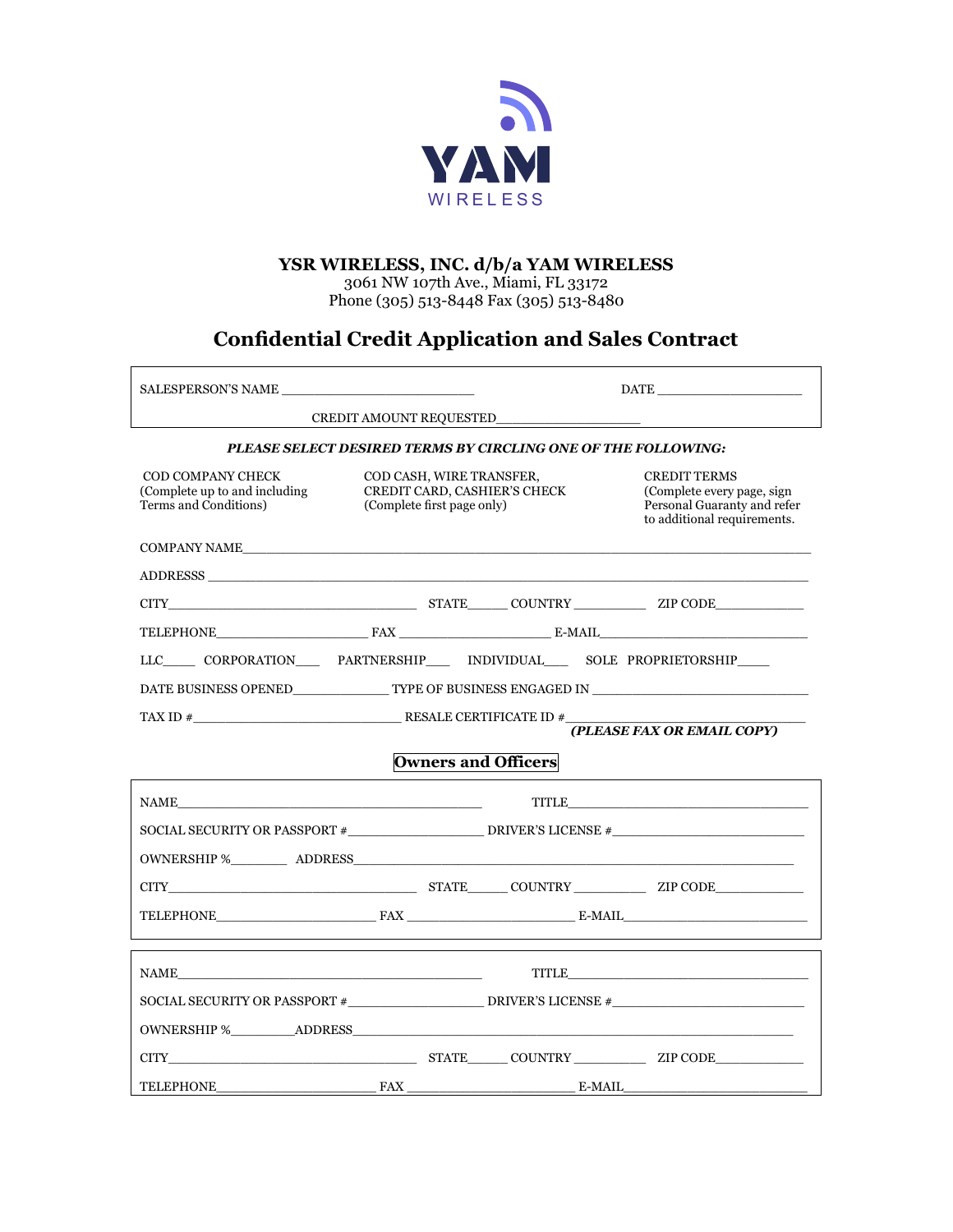

### **YSR WIRELESS, INC. d/b/a YAM WIRELESS**

3061 NW 107th Ave., Miami, FL 33172 Phone (305) 513-8448 Fax (305) 513-8480

# **Confidential Credit Application and Sales Contract**

| SALESPERSON'S NAME                                                                   |                                                                                        |  | <b>DATE</b>                                                                                                     |  |  |  |
|--------------------------------------------------------------------------------------|----------------------------------------------------------------------------------------|--|-----------------------------------------------------------------------------------------------------------------|--|--|--|
|                                                                                      |                                                                                        |  |                                                                                                                 |  |  |  |
| PLEASE SELECT DESIRED TERMS BY CIRCLING ONE OF THE FOLLOWING:                        |                                                                                        |  |                                                                                                                 |  |  |  |
| <b>COD COMPANY CHECK</b><br>(Complete up to and including)<br>Terms and Conditions)  | COD CASH, WIRE TRANSFER,<br>CREDIT CARD, CASHIER'S CHECK<br>(Complete first page only) |  | <b>CREDIT TERMS</b><br>(Complete every page, sign<br>Personal Guaranty and refer<br>to additional requirements. |  |  |  |
| COMPANY NAME                                                                         |                                                                                        |  |                                                                                                                 |  |  |  |
|                                                                                      |                                                                                        |  |                                                                                                                 |  |  |  |
|                                                                                      |                                                                                        |  |                                                                                                                 |  |  |  |
|                                                                                      |                                                                                        |  |                                                                                                                 |  |  |  |
| LLC_____ CORPORATION______ PARTNERSHIP_____ INDIVIDUAL_____ SOLE PROPRIETORSHIP_____ |                                                                                        |  |                                                                                                                 |  |  |  |
|                                                                                      |                                                                                        |  |                                                                                                                 |  |  |  |
|                                                                                      |                                                                                        |  |                                                                                                                 |  |  |  |
| (PLEASE FAX OR EMAIL COPY)                                                           |                                                                                        |  |                                                                                                                 |  |  |  |
| <b>Owners and Officers</b>                                                           |                                                                                        |  |                                                                                                                 |  |  |  |
|                                                                                      |                                                                                        |  | TITLE TITLE                                                                                                     |  |  |  |
|                                                                                      |                                                                                        |  |                                                                                                                 |  |  |  |
|                                                                                      |                                                                                        |  |                                                                                                                 |  |  |  |
|                                                                                      |                                                                                        |  |                                                                                                                 |  |  |  |
|                                                                                      |                                                                                        |  | TELEPHONE FAX EXAMPLE E-MAIL E-MAIL                                                                             |  |  |  |
|                                                                                      |                                                                                        |  |                                                                                                                 |  |  |  |
|                                                                                      |                                                                                        |  | TITLE                                                                                                           |  |  |  |
|                                                                                      |                                                                                        |  |                                                                                                                 |  |  |  |
|                                                                                      |                                                                                        |  |                                                                                                                 |  |  |  |
|                                                                                      |                                                                                        |  |                                                                                                                 |  |  |  |
| TELEPHONE                                                                            |                                                                                        |  |                                                                                                                 |  |  |  |